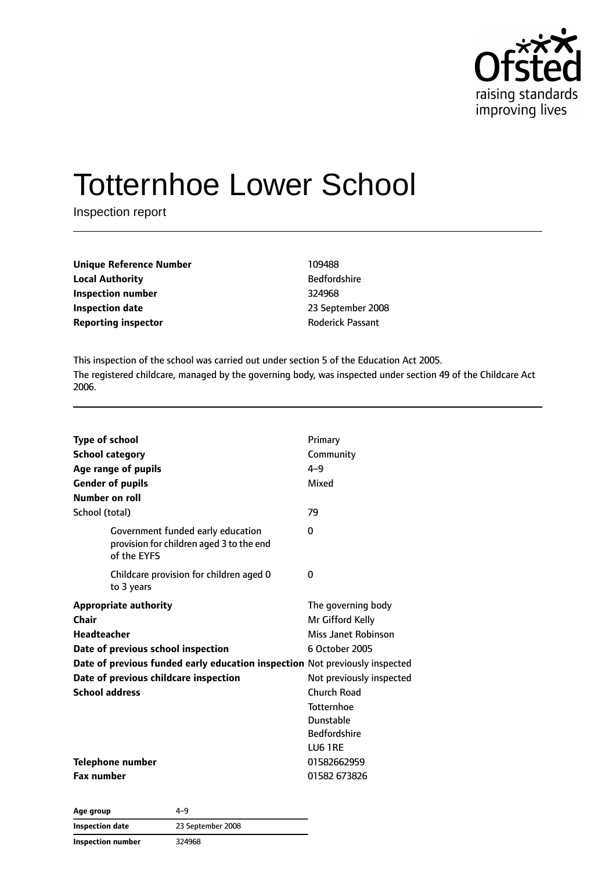

# Totternhoe Lower School

Inspection report

| Unique Reference Number    | 109488                  |
|----------------------------|-------------------------|
| Local Authority            | <b>Bedfordshire</b>     |
| Inspection number          | 324968                  |
| Inspection date            | 23 September 2008       |
| <b>Reporting inspector</b> | <b>Roderick Passant</b> |
|                            |                         |

This inspection of the school was carried out under section 5 of the Education Act 2005. The registered childcare, managed by the governing body, was inspected under section 49 of the Childcare Act 2006.

| <b>Type of school</b><br><b>School category</b><br>Age range of pupils<br><b>Gender of pupils</b><br>Number on roll<br>School (total)                                                                                                              | Primary<br>Community<br>$4 - 9$<br>Mixed<br>79                                                                                                                                                 |
|----------------------------------------------------------------------------------------------------------------------------------------------------------------------------------------------------------------------------------------------------|------------------------------------------------------------------------------------------------------------------------------------------------------------------------------------------------|
| Government funded early education<br>provision for children aged 3 to the end<br>of the EYFS                                                                                                                                                       | 0                                                                                                                                                                                              |
| Childcare provision for children aged 0<br>to 3 years                                                                                                                                                                                              | 0                                                                                                                                                                                              |
| <b>Appropriate authority</b><br>Chair<br><b>Headteacher</b><br>Date of previous school inspection<br>Date of previous funded early education inspection Not previously inspected<br>Date of previous childcare inspection<br><b>School address</b> | The governing body<br>Mr Gifford Kelly<br>Miss Janet Robinson<br>6 October 2005<br>Not previously inspected<br>Church Road<br><b>Totternhoe</b><br>Dunstable<br><b>Bedfordshire</b><br>LU6 1RE |
| <b>Telephone number</b><br><b>Fax number</b>                                                                                                                                                                                                       | 01582662959<br>01582 673826                                                                                                                                                                    |

**Age group** 4–9 **Inspection date** 23 September 2008 **Inspection number** 324968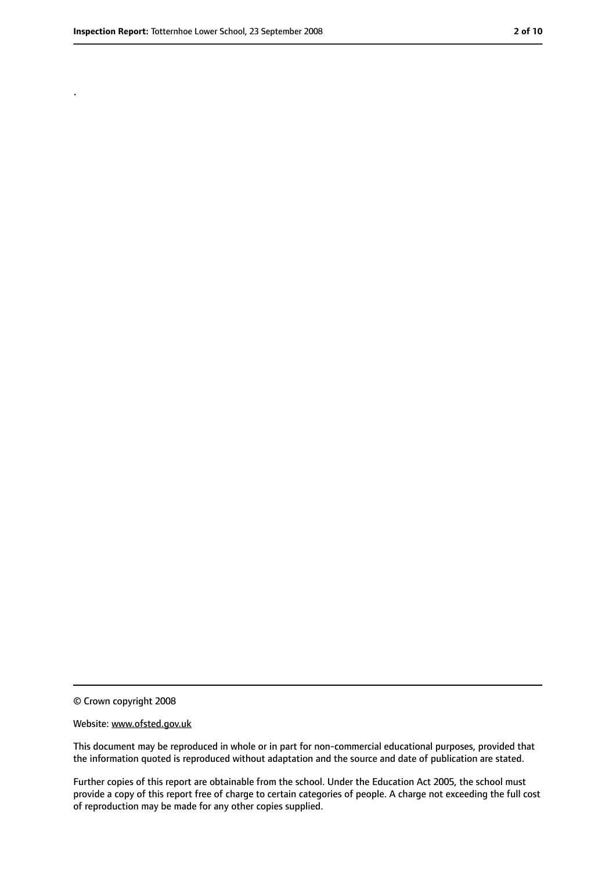.

<sup>©</sup> Crown copyright 2008

Website: www.ofsted.gov.uk

This document may be reproduced in whole or in part for non-commercial educational purposes, provided that the information quoted is reproduced without adaptation and the source and date of publication are stated.

Further copies of this report are obtainable from the school. Under the Education Act 2005, the school must provide a copy of this report free of charge to certain categories of people. A charge not exceeding the full cost of reproduction may be made for any other copies supplied.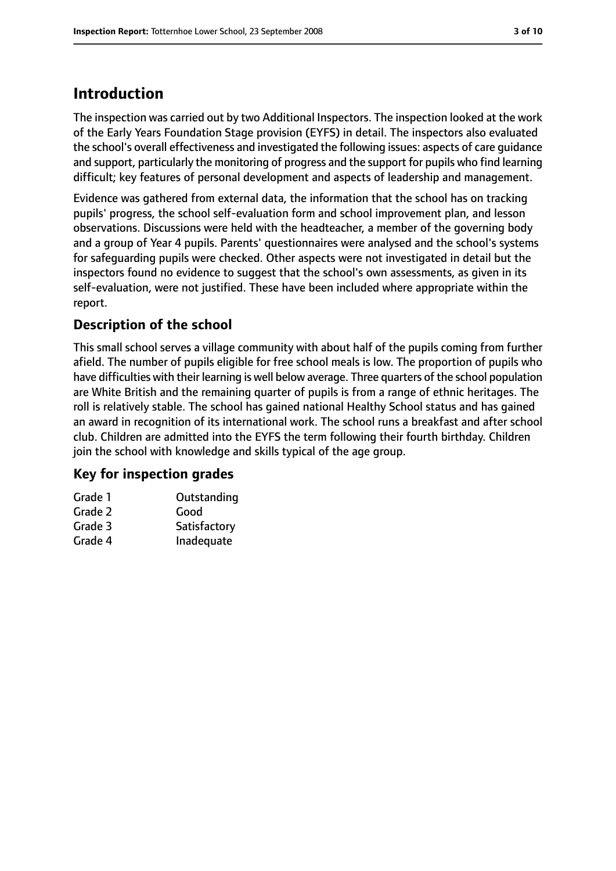# **Introduction**

The inspection was carried out by two Additional Inspectors. The inspection looked at the work of the Early Years Foundation Stage provision (EYFS) in detail. The inspectors also evaluated the school's overall effectiveness and investigated the following issues: aspects of care guidance and support, particularly the monitoring of progress and the support for pupils who find learning difficult; key features of personal development and aspects of leadership and management.

Evidence was gathered from external data, the information that the school has on tracking pupils' progress, the school self-evaluation form and school improvement plan, and lesson observations. Discussions were held with the headteacher, a member of the governing body and a group of Year 4 pupils. Parents' questionnaires were analysed and the school's systems for safeguarding pupils were checked. Other aspects were not investigated in detail but the inspectors found no evidence to suggest that the school's own assessments, as given in its self-evaluation, were not justified. These have been included where appropriate within the report.

#### **Description of the school**

This small school serves a village community with about half of the pupils coming from further afield. The number of pupils eligible for free school meals is low. The proportion of pupils who have difficulties with their learning is well below average. Three quarters of the school population are White British and the remaining quarter of pupils is from a range of ethnic heritages. The roll is relatively stable. The school has gained national Healthy School status and has gained an award in recognition of its international work. The school runs a breakfast and after school club. Children are admitted into the EYFS the term following their fourth birthday. Children join the school with knowledge and skills typical of the age group.

#### **Key for inspection grades**

| Grade 1 | Outstanding  |
|---------|--------------|
| Grade 2 | Good         |
| Grade 3 | Satisfactory |
| Grade 4 | Inadequate   |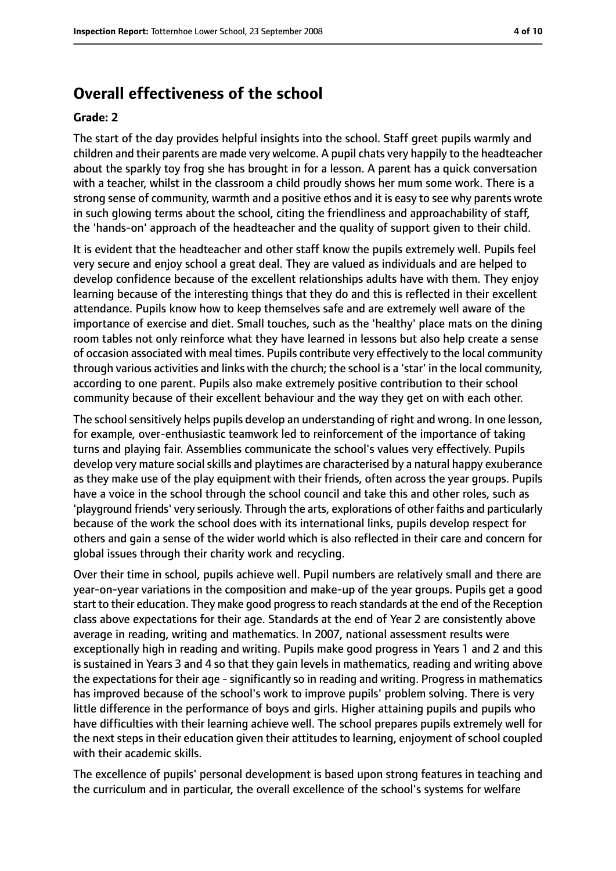#### **Overall effectiveness of the school**

#### **Grade: 2**

The start of the day provides helpful insights into the school. Staff greet pupils warmly and children and their parents are made very welcome. A pupil chats very happily to the headteacher about the sparkly toy frog she has brought in for a lesson. A parent has a quick conversation with a teacher, whilst in the classroom a child proudly shows her mum some work. There is a strong sense of community, warmth and a positive ethos and it is easy to see why parents wrote in such glowing terms about the school, citing the friendliness and approachability of staff, the 'hands-on' approach of the headteacher and the quality of support given to their child.

It is evident that the headteacher and other staff know the pupils extremely well. Pupils feel very secure and enjoy school a great deal. They are valued as individuals and are helped to develop confidence because of the excellent relationships adults have with them. They enjoy learning because of the interesting things that they do and this is reflected in their excellent attendance. Pupils know how to keep themselves safe and are extremely well aware of the importance of exercise and diet. Small touches, such as the 'healthy' place mats on the dining room tables not only reinforce what they have learned in lessons but also help create a sense of occasion associated with meal times. Pupils contribute very effectively to the local community through various activities and links with the church; the school is a 'star' in the local community, according to one parent. Pupils also make extremely positive contribution to their school community because of their excellent behaviour and the way they get on with each other.

The school sensitively helps pupils develop an understanding of right and wrong. In one lesson, for example, over-enthusiastic teamwork led to reinforcement of the importance of taking turns and playing fair. Assemblies communicate the school's values very effectively. Pupils develop very mature social skills and playtimes are characterised by a natural happy exuberance as they make use of the play equipment with their friends, often across the year groups. Pupils have a voice in the school through the school council and take this and other roles, such as 'playground friends' very seriously. Through the arts, explorations of other faiths and particularly because of the work the school does with its international links, pupils develop respect for others and gain a sense of the wider world which is also reflected in their care and concern for global issues through their charity work and recycling.

Over their time in school, pupils achieve well. Pupil numbers are relatively small and there are year-on-year variations in the composition and make-up of the year groups. Pupils get a good start to their education. They make good progressto reach standards at the end of the Reception class above expectations for their age. Standards at the end of Year 2 are consistently above average in reading, writing and mathematics. In 2007, national assessment results were exceptionally high in reading and writing. Pupils make good progress in Years 1 and 2 and this is sustained in Years 3 and 4 so that they gain levels in mathematics, reading and writing above the expectations for their age - significantly so in reading and writing. Progress in mathematics has improved because of the school's work to improve pupils' problem solving. There is very little difference in the performance of boys and girls. Higher attaining pupils and pupils who have difficulties with their learning achieve well. The school prepares pupils extremely well for the next steps in their education given their attitudes to learning, enjoyment of school coupled with their academic skills.

The excellence of pupils' personal development is based upon strong features in teaching and the curriculum and in particular, the overall excellence of the school's systems for welfare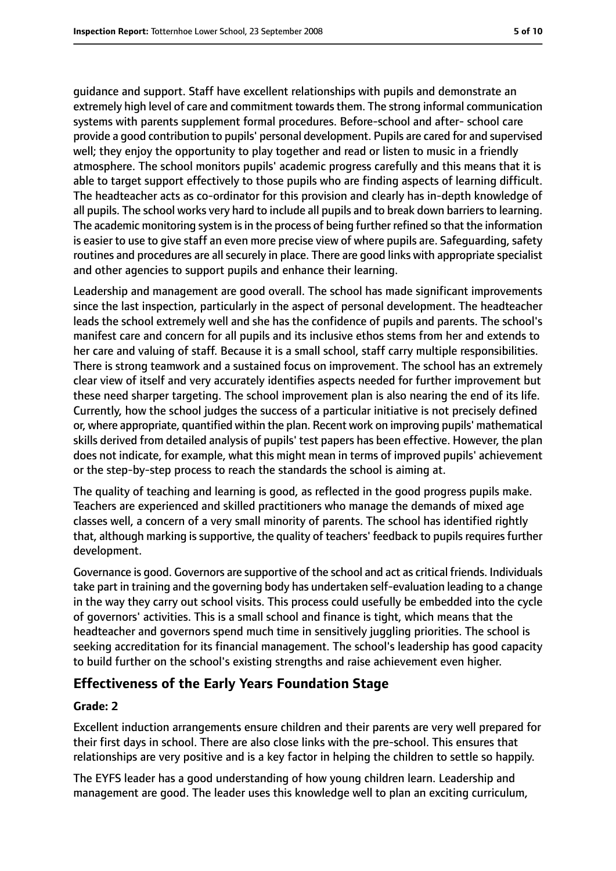guidance and support. Staff have excellent relationships with pupils and demonstrate an extremely high level of care and commitment towards them. The strong informal communication systems with parents supplement formal procedures. Before-school and after- school care provide a good contribution to pupils' personal development. Pupils are cared for and supervised well; they enjoy the opportunity to play together and read or listen to music in a friendly atmosphere. The school monitors pupils' academic progress carefully and this means that it is able to target support effectively to those pupils who are finding aspects of learning difficult. The headteacher acts as co-ordinator for this provision and clearly has in-depth knowledge of all pupils. The school works very hard to include all pupils and to break down barriers to learning. The academic monitoring system is in the process of being further refined so that the information is easier to use to give staff an even more precise view of where pupils are. Safeguarding, safety routines and procedures are all securely in place. There are good links with appropriate specialist and other agencies to support pupils and enhance their learning.

Leadership and management are good overall. The school has made significant improvements since the last inspection, particularly in the aspect of personal development. The headteacher leads the school extremely well and she has the confidence of pupils and parents. The school's manifest care and concern for all pupils and its inclusive ethos stems from her and extends to her care and valuing of staff. Because it is a small school, staff carry multiple responsibilities. There is strong teamwork and a sustained focus on improvement. The school has an extremely clear view of itself and very accurately identifies aspects needed for further improvement but these need sharper targeting. The school improvement plan is also nearing the end of its life. Currently, how the school judges the success of a particular initiative is not precisely defined or, where appropriate, quantified within the plan. Recent work on improving pupils' mathematical skills derived from detailed analysis of pupils' test papers has been effective. However, the plan does not indicate, for example, what this might mean in terms of improved pupils' achievement or the step-by-step process to reach the standards the school is aiming at.

The quality of teaching and learning is good, as reflected in the good progress pupils make. Teachers are experienced and skilled practitioners who manage the demands of mixed age classes well, a concern of a very small minority of parents. The school has identified rightly that, although marking issupportive, the quality of teachers' feedback to pupilsrequiresfurther development.

Governance is good. Governors are supportive of the school and act as critical friends. Individuals take part in training and the governing body has undertaken self-evaluation leading to a change in the way they carry out school visits. This process could usefully be embedded into the cycle of governors' activities. This is a small school and finance is tight, which means that the headteacher and governors spend much time in sensitively juggling priorities. The school is seeking accreditation for its financial management. The school's leadership has good capacity to build further on the school's existing strengths and raise achievement even higher.

#### **Effectiveness of the Early Years Foundation Stage**

#### **Grade: 2**

Excellent induction arrangements ensure children and their parents are very well prepared for their first days in school. There are also close links with the pre-school. This ensures that relationships are very positive and is a key factor in helping the children to settle so happily.

The EYFS leader has a good understanding of how young children learn. Leadership and management are good. The leader uses this knowledge well to plan an exciting curriculum,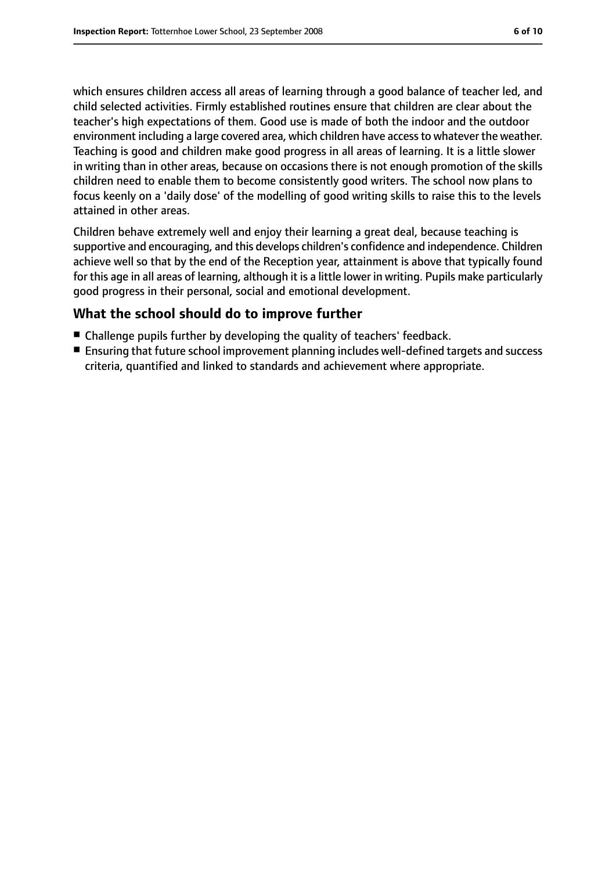which ensures children access all areas of learning through a good balance of teacher led, and child selected activities. Firmly established routines ensure that children are clear about the teacher's high expectations of them. Good use is made of both the indoor and the outdoor environment including a large covered area, which children have accessto whatever the weather. Teaching is good and children make good progress in all areas of learning. It is a little slower in writing than in other areas, because on occasions there is not enough promotion of the skills children need to enable them to become consistently good writers. The school now plans to focus keenly on a 'daily dose' of the modelling of good writing skills to raise this to the levels attained in other areas.

Children behave extremely well and enjoy their learning a great deal, because teaching is supportive and encouraging, and this develops children's confidence and independence. Children achieve well so that by the end of the Reception year, attainment is above that typically found for this age in all areas of learning, although it is a little lower in writing. Pupils make particularly good progress in their personal, social and emotional development.

#### **What the school should do to improve further**

- Challenge pupils further by developing the quality of teachers' feedback.
- Ensuring that future school improvement planning includes well-defined targets and success criteria, quantified and linked to standards and achievement where appropriate.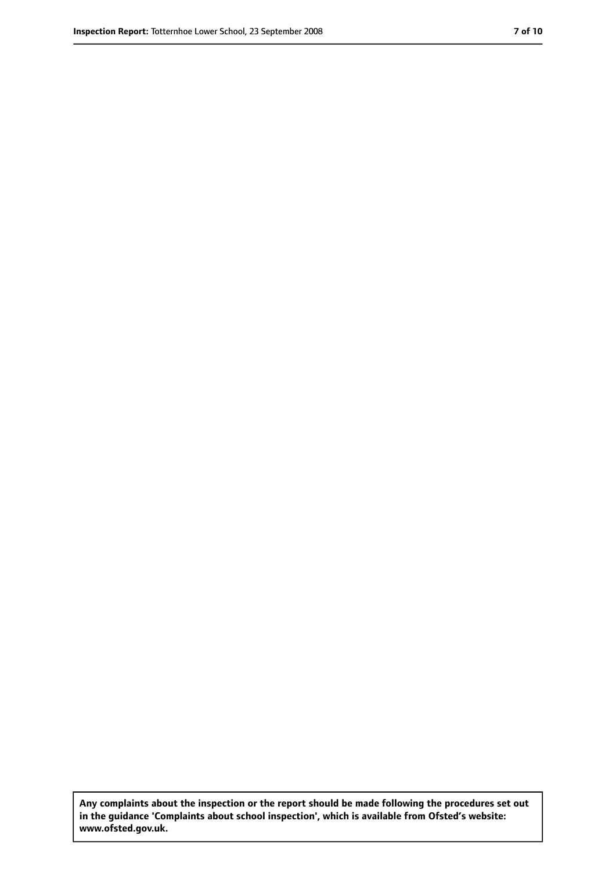**Any complaints about the inspection or the report should be made following the procedures set out in the guidance 'Complaints about school inspection', which is available from Ofsted's website: www.ofsted.gov.uk.**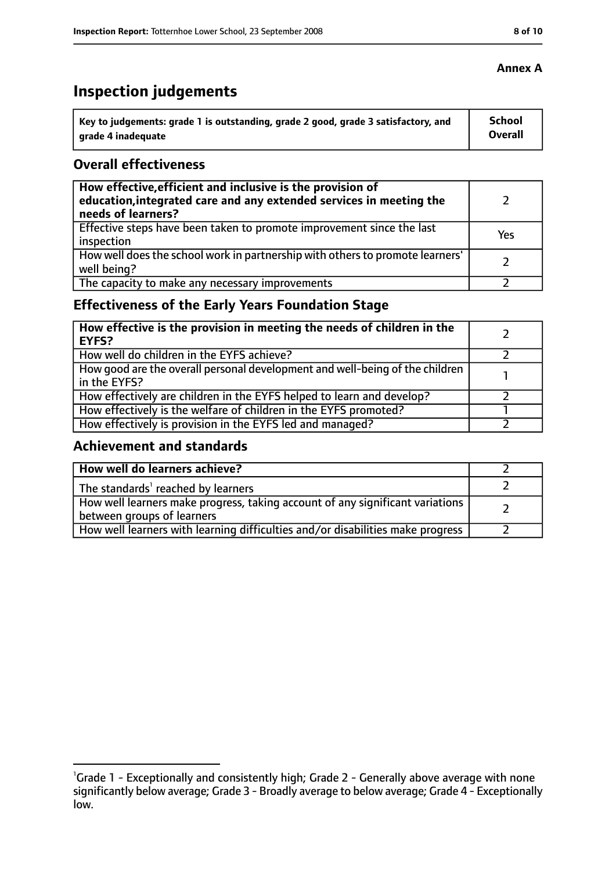# **Inspection judgements**

| \ Key to judgements: grade 1 is outstanding, grade 2 good, grade 3 satisfactory, and | <b>School</b>  |
|--------------------------------------------------------------------------------------|----------------|
| arade 4 inadequate                                                                   | <b>Overall</b> |

#### **Overall effectiveness**

| How effective, efficient and inclusive is the provision of<br>education, integrated care and any extended services in meeting the<br>needs of learners? |     |
|---------------------------------------------------------------------------------------------------------------------------------------------------------|-----|
| Effective steps have been taken to promote improvement since the last<br>inspection                                                                     | Yes |
| How well does the school work in partnership with others to promote learners'<br>well being?                                                            |     |
| The capacity to make any necessary improvements                                                                                                         |     |

## **Effectiveness of the Early Years Foundation Stage**

| How effective is the provision in meeting the needs of children in the<br>EYFS?                |  |
|------------------------------------------------------------------------------------------------|--|
| How well do children in the EYFS achieve?                                                      |  |
| How good are the overall personal development and well-being of the children<br>I in the EYFS? |  |
| How effectively are children in the EYFS helped to learn and develop?                          |  |
| How effectively is the welfare of children in the EYFS promoted?                               |  |
| How effectively is provision in the EYFS led and managed?                                      |  |

#### **Achievement and standards**

| How well do learners achieve?                                                  |  |
|--------------------------------------------------------------------------------|--|
| $\vert$ The standards <sup>1</sup> reached by learners                         |  |
| How well learners make progress, taking account of any significant variations  |  |
| between groups of learners                                                     |  |
| How well learners with learning difficulties and/or disabilities make progress |  |

#### **Annex A**

<sup>&</sup>lt;sup>1</sup>Grade 1 - Exceptionally and consistently high; Grade 2 - Generally above average with none significantly below average; Grade 3 - Broadly average to below average; Grade 4 - Exceptionally low.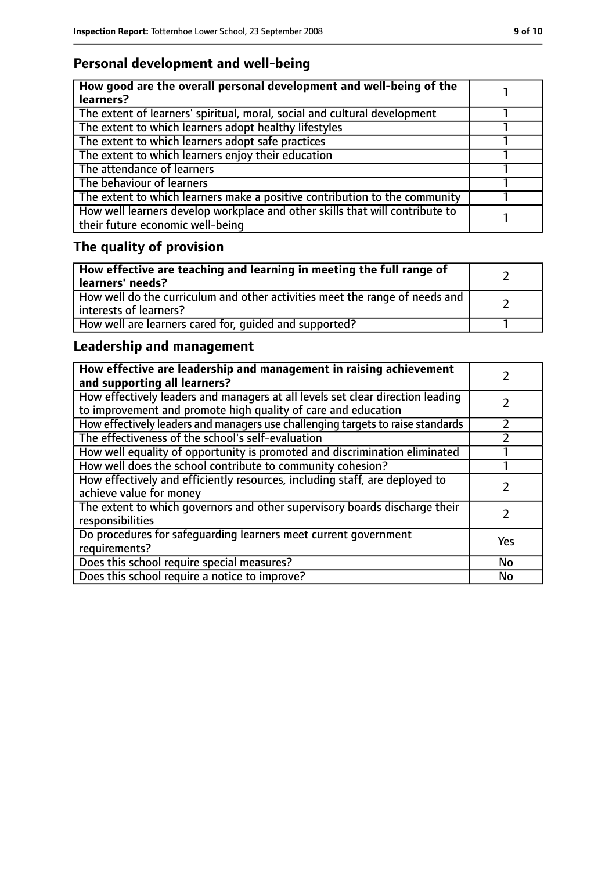## **Personal development and well-being**

| How good are the overall personal development and well-being of the<br>learners?                                 |  |
|------------------------------------------------------------------------------------------------------------------|--|
| The extent of learners' spiritual, moral, social and cultural development                                        |  |
| The extent to which learners adopt healthy lifestyles                                                            |  |
| The extent to which learners adopt safe practices                                                                |  |
| The extent to which learners enjoy their education                                                               |  |
| The attendance of learners                                                                                       |  |
| The behaviour of learners                                                                                        |  |
| The extent to which learners make a positive contribution to the community                                       |  |
| How well learners develop workplace and other skills that will contribute to<br>their future economic well-being |  |

# **The quality of provision**

| How effective are teaching and learning in meeting the full range of<br>learners' needs?              |  |
|-------------------------------------------------------------------------------------------------------|--|
| How well do the curriculum and other activities meet the range of needs and<br>interests of learners? |  |
| How well are learners cared for, quided and supported?                                                |  |

## **Leadership and management**

| How effective are leadership and management in raising achievement<br>and supporting all learners?                                              |     |
|-------------------------------------------------------------------------------------------------------------------------------------------------|-----|
| How effectively leaders and managers at all levels set clear direction leading<br>to improvement and promote high quality of care and education |     |
| How effectively leaders and managers use challenging targets to raise standards                                                                 |     |
| The effectiveness of the school's self-evaluation                                                                                               |     |
| How well equality of opportunity is promoted and discrimination eliminated                                                                      |     |
| How well does the school contribute to community cohesion?                                                                                      |     |
| How effectively and efficiently resources, including staff, are deployed to<br>achieve value for money                                          |     |
| The extent to which governors and other supervisory boards discharge their<br>responsibilities                                                  |     |
| Do procedures for safequarding learners meet current government<br>requirements?                                                                | Yes |
| Does this school require special measures?                                                                                                      | No  |
| Does this school require a notice to improve?                                                                                                   | No  |